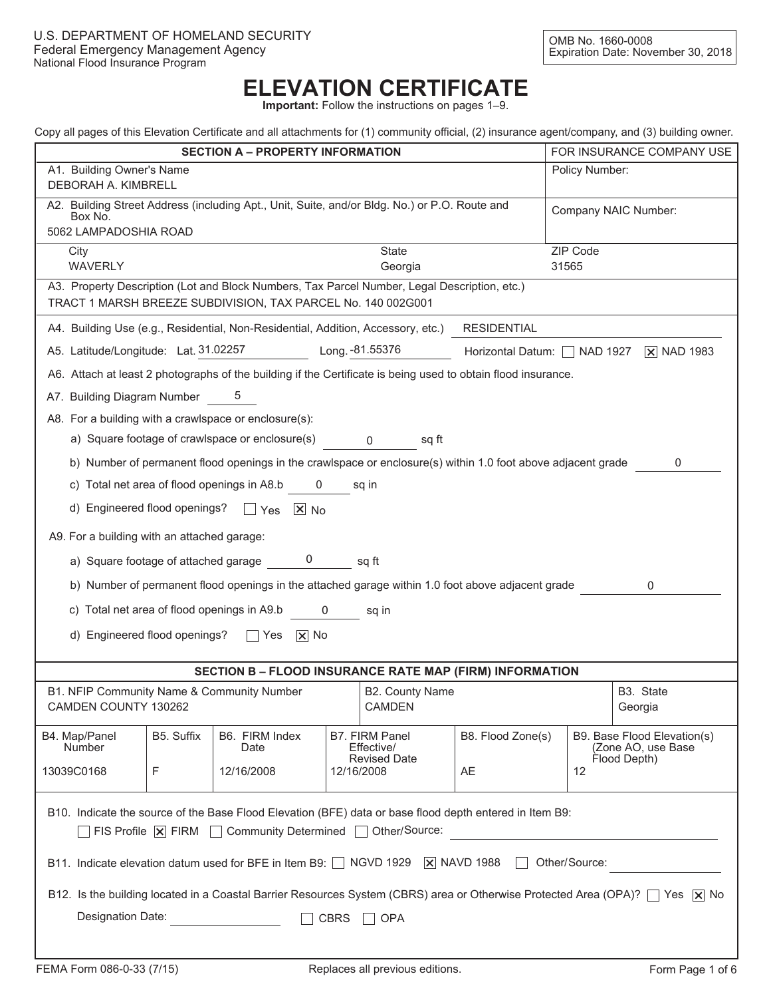# **ELEVATION CERTIFICATE**

**Important:** Follow the instructions on pages 1–9.

|  | Copy all pages of this Elevation Certificate and all attachments for (1) community official, (2) insurance agent/company, and (3) building owner. |  |  |  |  |
|--|---------------------------------------------------------------------------------------------------------------------------------------------------|--|--|--|--|
|  |                                                                                                                                                   |  |  |  |  |
|  |                                                                                                                                                   |  |  |  |  |
|  |                                                                                                                                                   |  |  |  |  |

| Copy all pages of this Elevation Centificate and all attachments for (1) community onicial, (2) insurance agent/company, and (3) building owner.        |                                                                                                                                                              |            |                              |                            |    |                                                   |  |  |
|---------------------------------------------------------------------------------------------------------------------------------------------------------|--------------------------------------------------------------------------------------------------------------------------------------------------------------|------------|------------------------------|----------------------------|----|---------------------------------------------------|--|--|
|                                                                                                                                                         | <b>SECTION A - PROPERTY INFORMATION</b><br>FOR INSURANCE COMPANY USE                                                                                         |            |                              |                            |    |                                                   |  |  |
| A1. Building Owner's Name<br>Policy Number:<br>DEBORAH A. KIMBRELL                                                                                      |                                                                                                                                                              |            |                              |                            |    |                                                   |  |  |
| Box No.<br>5062 LAMPADOSHIA ROAD                                                                                                                        | A2. Building Street Address (including Apt., Unit, Suite, and/or Bldg. No.) or P.O. Route and<br>Company NAIC Number:                                        |            |                              |                            |    |                                                   |  |  |
|                                                                                                                                                         |                                                                                                                                                              |            |                              |                            |    |                                                   |  |  |
| ZIP Code<br>State<br>City<br><b>WAVERLY</b><br>31565<br>Georgia                                                                                         |                                                                                                                                                              |            |                              |                            |    |                                                   |  |  |
|                                                                                                                                                         | A3. Property Description (Lot and Block Numbers, Tax Parcel Number, Legal Description, etc.)<br>TRACT 1 MARSH BREEZE SUBDIVISION, TAX PARCEL No. 140 002G001 |            |                              |                            |    |                                                   |  |  |
| A4. Building Use (e.g., Residential, Non-Residential, Addition, Accessory, etc.)<br><b>RESIDENTIAL</b>                                                  |                                                                                                                                                              |            |                              |                            |    |                                                   |  |  |
| A5. Latitude/Longitude: Lat. 31.02257                                                                                                                   |                                                                                                                                                              |            | Long. - 81.55376             | Horizontal Datum: NAD 1927 |    | $\overline{X}$ NAD 1983                           |  |  |
| A6. Attach at least 2 photographs of the building if the Certificate is being used to obtain flood insurance.                                           |                                                                                                                                                              |            |                              |                            |    |                                                   |  |  |
| A7. Building Diagram Number                                                                                                                             | 5                                                                                                                                                            |            |                              |                            |    |                                                   |  |  |
| A8. For a building with a crawlspace or enclosure(s):                                                                                                   |                                                                                                                                                              |            |                              |                            |    |                                                   |  |  |
| a) Square footage of crawlspace or enclosure(s) 0                                                                                                       |                                                                                                                                                              |            | sq ft                        |                            |    |                                                   |  |  |
| b) Number of permanent flood openings in the crawlspace or enclosure(s) within 1.0 foot above adjacent grade                                            |                                                                                                                                                              |            |                              |                            |    | 0                                                 |  |  |
| c) Total net area of flood openings in A8.b 0                                                                                                           |                                                                                                                                                              |            | sq in                        |                            |    |                                                   |  |  |
| d) Engineered flood openings? $\Box$ Yes $\Box$ No                                                                                                      |                                                                                                                                                              |            |                              |                            |    |                                                   |  |  |
| A9. For a building with an attached garage:                                                                                                             |                                                                                                                                                              |            |                              |                            |    |                                                   |  |  |
| a) Square footage of attached garage $\qquad \qquad 0 \qquad \qquad$ sq ft                                                                              |                                                                                                                                                              |            |                              |                            |    |                                                   |  |  |
| b) Number of permanent flood openings in the attached garage within 1.0 foot above adjacent grade<br>0                                                  |                                                                                                                                                              |            |                              |                            |    |                                                   |  |  |
| c) Total net area of flood openings in A9.b 0<br>sq in                                                                                                  |                                                                                                                                                              |            |                              |                            |    |                                                   |  |  |
| d) Engineered flood openings?<br>$\Box$ Yes $\Box$ No                                                                                                   |                                                                                                                                                              |            |                              |                            |    |                                                   |  |  |
| SECTION B - FLOOD INSURANCE RATE MAP (FIRM) INFORMATION                                                                                                 |                                                                                                                                                              |            |                              |                            |    |                                                   |  |  |
| B1. NFIP Community Name & Community Number                                                                                                              |                                                                                                                                                              |            | B2. County Name              |                            |    | B3. State                                         |  |  |
| CAMDEN COUNTY 130262                                                                                                                                    |                                                                                                                                                              |            | <b>CAMDEN</b>                |                            |    | Georgia                                           |  |  |
| B5. Suffix<br>B4. Map/Panel<br><b>Number</b>                                                                                                            | B6. FIRM Index<br>Date                                                                                                                                       |            | B7. FIRM Panel<br>Effective/ | B8. Flood Zone(s)          |    | B9. Base Flood Elevation(s)<br>(Zone AO, use Base |  |  |
| 13039C0168<br>F                                                                                                                                         | 12/16/2008                                                                                                                                                   | 12/16/2008 | <b>Revised Date</b>          | AE                         | 12 | Flood Depth)                                      |  |  |
| B10. Indicate the source of the Base Flood Elevation (BFE) data or base flood depth entered in Item B9:                                                 |                                                                                                                                                              |            |                              |                            |    |                                                   |  |  |
| $\overline{\phantom{a}}$ FIS Profile $\overline{\phantom{a}}$ FIRM $\overline{\phantom{a}}$ Community Determined $\overline{\phantom{a}}$ Other/Source: |                                                                                                                                                              |            |                              |                            |    |                                                   |  |  |
| B11. Indicate elevation datum used for BFE in Item B9: [ NGVD 1929   X NAVD 1988<br>Other/Source:                                                       |                                                                                                                                                              |            |                              |                            |    |                                                   |  |  |
| B12. Is the building located in a Coastal Barrier Resources System (CBRS) area or Otherwise Protected Area (OPA)? [Yes   X   No                         |                                                                                                                                                              |            |                              |                            |    |                                                   |  |  |
| Designation Date:<br>CBRS<br>$\Box$ OPA                                                                                                                 |                                                                                                                                                              |            |                              |                            |    |                                                   |  |  |
|                                                                                                                                                         |                                                                                                                                                              |            |                              |                            |    |                                                   |  |  |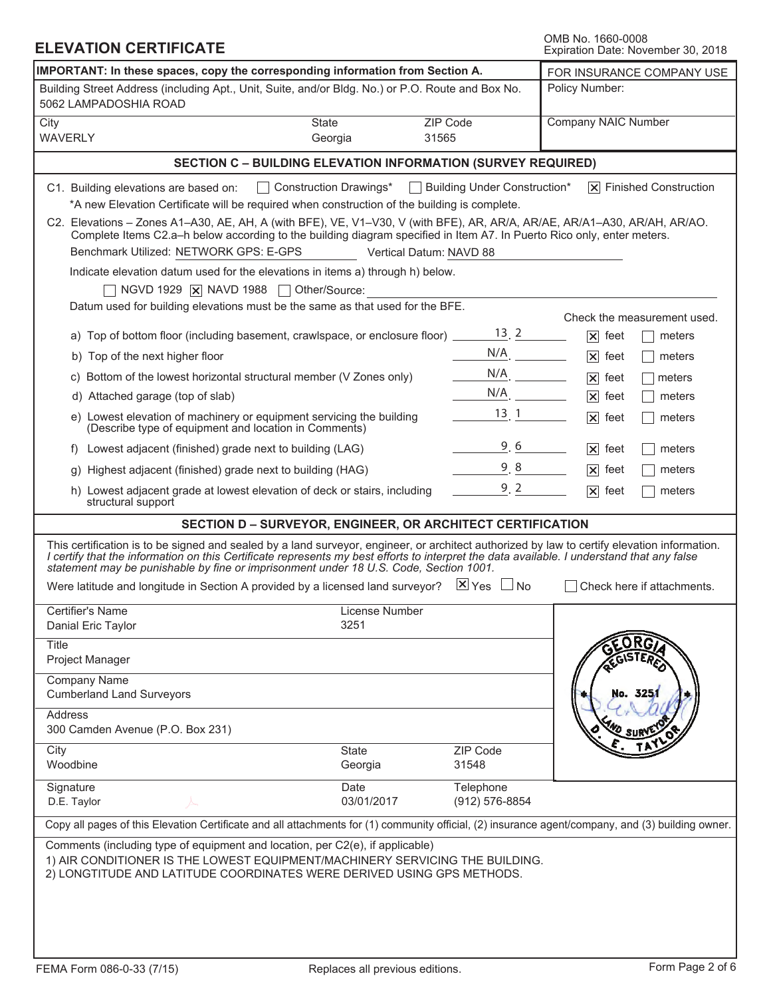| <b>ELEVATION CERTIFICATE</b>                                                                                                                                                                                                                                                                                                                                                        |                           |                         |                              | OMB No. 1660-0008<br>Expiration Date: November 30, 2018 |  |
|-------------------------------------------------------------------------------------------------------------------------------------------------------------------------------------------------------------------------------------------------------------------------------------------------------------------------------------------------------------------------------------|---------------------------|-------------------------|------------------------------|---------------------------------------------------------|--|
| IMPORTANT: In these spaces, copy the corresponding information from Section A.                                                                                                                                                                                                                                                                                                      | FOR INSURANCE COMPANY USE |                         |                              |                                                         |  |
| Building Street Address (including Apt., Unit, Suite, and/or Bldg. No.) or P.O. Route and Box No.<br>5062 LAMPADOSHIA ROAD                                                                                                                                                                                                                                                          |                           |                         |                              | Policy Number:                                          |  |
| City<br><b>WAVERLY</b>                                                                                                                                                                                                                                                                                                                                                              | State<br>Georgia          | ZIP Code<br>31565       |                              | Company NAIC Number                                     |  |
| <b>SECTION C - BUILDING ELEVATION INFORMATION (SURVEY REQUIRED)</b>                                                                                                                                                                                                                                                                                                                 |                           |                         |                              |                                                         |  |
| C1. Building elevations are based on:                                                                                                                                                                                                                                                                                                                                               | Construction Drawings*    |                         | Building Under Construction* | $ \overline{x} $ Finished Construction                  |  |
| *A new Elevation Certificate will be required when construction of the building is complete.                                                                                                                                                                                                                                                                                        |                           |                         |                              |                                                         |  |
| C2. Elevations - Zones A1-A30, AE, AH, A (with BFE), VE, V1-V30, V (with BFE), AR, AR/A, AR/AE, AR/A1-A30, AR/AH, AR/AO.<br>Complete Items C2.a-h below according to the building diagram specified in Item A7. In Puerto Rico only, enter meters.                                                                                                                                  |                           |                         |                              |                                                         |  |
| Benchmark Utilized: NETWORK GPS: E-GPS                                                                                                                                                                                                                                                                                                                                              |                           | Vertical Datum: NAVD 88 |                              |                                                         |  |
| Indicate elevation datum used for the elevations in items a) through h) below.<br>NGVD 1929   X NAVD 1988   Other/Source:                                                                                                                                                                                                                                                           |                           |                         |                              |                                                         |  |
| Datum used for building elevations must be the same as that used for the BFE.                                                                                                                                                                                                                                                                                                       |                           |                         |                              |                                                         |  |
|                                                                                                                                                                                                                                                                                                                                                                                     |                           |                         |                              | Check the measurement used.                             |  |
| a) Top of bottom floor (including basement, crawlspace, or enclosure floor) $\frac{13}{2}$ . 2                                                                                                                                                                                                                                                                                      |                           |                         |                              | $ \mathsf{x} $ feet<br>meters                           |  |
| b) Top of the next higher floor                                                                                                                                                                                                                                                                                                                                                     |                           |                         | $N/A$ .                      | $ \mathsf{x} $ feet<br>meters                           |  |
| c) Bottom of the lowest horizontal structural member (V Zones only)                                                                                                                                                                                                                                                                                                                 |                           |                         | $N/A$ .                      | $ \mathsf{x} $ feet<br>meters                           |  |
| d) Attached garage (top of slab)                                                                                                                                                                                                                                                                                                                                                    |                           |                         |                              | $ \mathsf{x} $ feet<br>meters                           |  |
| e) Lowest elevation of machinery or equipment servicing the building<br>(Describe type of equipment and location in Comments)                                                                                                                                                                                                                                                       |                           |                         | 13, 1                        | $ \mathsf{x} $ feet<br>meters                           |  |
| f) Lowest adjacent (finished) grade next to building (LAG)                                                                                                                                                                                                                                                                                                                          |                           |                         | 9,6                          | $ \mathsf{x} $ feet<br>meters                           |  |
| Highest adjacent (finished) grade next to building (HAG)<br>q)                                                                                                                                                                                                                                                                                                                      |                           |                         | 9, 8                         | $ \mathsf{x} $ feet<br>meters                           |  |
| h) Lowest adjacent grade at lowest elevation of deck or stairs, including<br>structural support                                                                                                                                                                                                                                                                                     |                           |                         | 9.2                          | $ \mathsf{x} $ feet<br>meters                           |  |
| <b>SECTION D - SURVEYOR, ENGINEER, OR ARCHITECT CERTIFICATION</b>                                                                                                                                                                                                                                                                                                                   |                           |                         |                              |                                                         |  |
| This certification is to be signed and sealed by a land surveyor, engineer, or architect authorized by law to certify elevation information.<br>I certify that the information on this Certificate represents my best efforts to interpret the data available. I understand that any false<br>statement may be punishable by fine or imprisonment under 18 U.S. Code, Section 1001. |                           |                         |                              |                                                         |  |
| Were latitude and longitude in Section A provided by a licensed land surveyor? $X \times Y$ Yes $\Box$ No                                                                                                                                                                                                                                                                           |                           |                         |                              | Check here if attachments.                              |  |
| Certifier's Name                                                                                                                                                                                                                                                                                                                                                                    | License Number            |                         |                              |                                                         |  |
| Danial Eric Taylor                                                                                                                                                                                                                                                                                                                                                                  | 3251                      |                         |                              |                                                         |  |
| <b>Title</b><br>Project Manager                                                                                                                                                                                                                                                                                                                                                     |                           |                         |                              |                                                         |  |
| Company Name                                                                                                                                                                                                                                                                                                                                                                        |                           |                         |                              |                                                         |  |
| <b>Cumberland Land Surveyors</b>                                                                                                                                                                                                                                                                                                                                                    |                           |                         |                              | No. 325                                                 |  |
| <b>Address</b>                                                                                                                                                                                                                                                                                                                                                                      |                           |                         |                              |                                                         |  |
| 300 Camden Avenue (P.O. Box 231)                                                                                                                                                                                                                                                                                                                                                    |                           |                         |                              |                                                         |  |
| City<br>Woodbine                                                                                                                                                                                                                                                                                                                                                                    | State<br>Georgia          |                         | ZIP Code<br>31548            |                                                         |  |
| Signature                                                                                                                                                                                                                                                                                                                                                                           | Date                      |                         | Telephone                    |                                                         |  |
| D.E. Taylor                                                                                                                                                                                                                                                                                                                                                                         | 03/01/2017                |                         | (912) 576-8854               |                                                         |  |
| Copy all pages of this Elevation Certificate and all attachments for (1) community official, (2) insurance agent/company, and (3) building owner.                                                                                                                                                                                                                                   |                           |                         |                              |                                                         |  |
| Comments (including type of equipment and location, per C2(e), if applicable)<br>1) AIR CONDITIONER IS THE LOWEST EQUIPMENT/MACHINERY SERVICING THE BUILDING.<br>2) LONGTITUDE AND LATITUDE COORDINATES WERE DERIVED USING GPS METHODS.                                                                                                                                             |                           |                         |                              |                                                         |  |
|                                                                                                                                                                                                                                                                                                                                                                                     |                           |                         |                              |                                                         |  |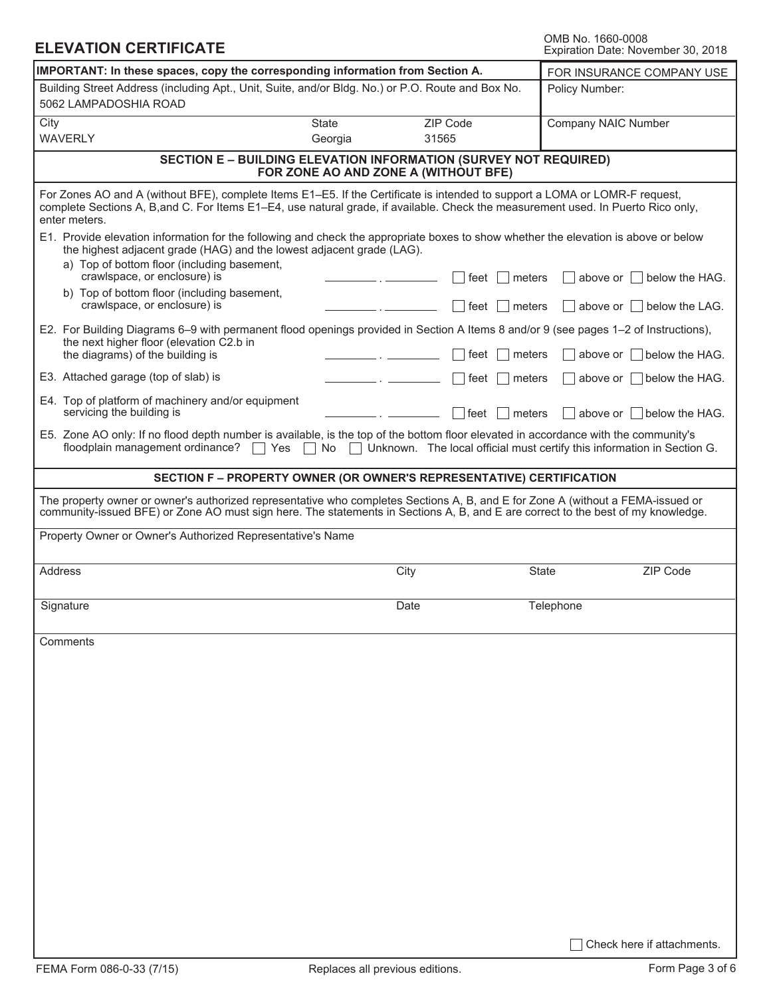OMB No. 1660-0008<br>Expiration Date: November 30, 2018

| IMPORTANT: In these spaces, copy the corresponding information from Section A.<br>FOR INSURANCE COMPANY USE                                                                                                                                                                       |              |                                                                         |                  |                     |                                                                     |  |
|-----------------------------------------------------------------------------------------------------------------------------------------------------------------------------------------------------------------------------------------------------------------------------------|--------------|-------------------------------------------------------------------------|------------------|---------------------|---------------------------------------------------------------------|--|
| Building Street Address (including Apt., Unit, Suite, and/or Bldg. No.) or P.O. Route and Box No.<br>5062 LAMPADOSHIA ROAD                                                                                                                                                        |              |                                                                         |                  | Policy Number:      |                                                                     |  |
| City                                                                                                                                                                                                                                                                              | <b>State</b> | ZIP Code                                                                |                  | Company NAIC Number |                                                                     |  |
| <b>WAVERLY</b>                                                                                                                                                                                                                                                                    | Georgia      | 31565                                                                   |                  |                     |                                                                     |  |
| <b>SECTION E - BUILDING ELEVATION INFORMATION (SURVEY NOT REQUIRED)</b>                                                                                                                                                                                                           |              | FOR ZONE AO AND ZONE A (WITHOUT BFE)                                    |                  |                     |                                                                     |  |
| For Zones AO and A (without BFE), complete Items E1–E5. If the Certificate is intended to support a LOMA or LOMR-F request,<br>complete Sections A, B, and C. For Items E1-E4, use natural grade, if available. Check the measurement used. In Puerto Rico only,<br>enter meters. |              |                                                                         |                  |                     |                                                                     |  |
| E1. Provide elevation information for the following and check the appropriate boxes to show whether the elevation is above or below<br>the highest adjacent grade (HAG) and the lowest adjacent grade (LAG).                                                                      |              |                                                                         |                  |                     |                                                                     |  |
| a) Top of bottom floor (including basement,<br>crawlspace, or enclosure) is                                                                                                                                                                                                       |              | ∣ feet                                                                  | meters           |                     | above or $\vert \ \vert$ below the HAG.                             |  |
| b) Top of bottom floor (including basement,<br>crawlspace, or enclosure) is                                                                                                                                                                                                       |              | ∣ feet                                                                  | $\Box$ meters    |                     | $\vert$ above or $\vert$ below the LAG.                             |  |
| E2. For Building Diagrams 6–9 with permanent flood openings provided in Section A Items 8 and/or 9 (see pages 1–2 of Instructions),<br>the next higher floor (elevation C2.b in                                                                                                   |              |                                                                         |                  |                     |                                                                     |  |
| the diagrams) of the building is<br>E3. Attached garage (top of slab) is                                                                                                                                                                                                          |              | feet<br>feet                                                            | meters<br>meters |                     | above or <b>below</b> the HAG.<br>above or $\vert$   below the HAG. |  |
| E4. Top of platform of machinery and/or equipment                                                                                                                                                                                                                                 |              |                                                                         |                  |                     |                                                                     |  |
| servicing the building is<br>E5. Zone AO only: If no flood depth number is available, is the top of the bottom floor elevated in accordance with the community's                                                                                                                  |              | ∣feet                                                                   | meters           |                     | above or below the HAG.                                             |  |
| floodplain management ordinance?<br>Yes                                                                                                                                                                                                                                           | No           | Unknown. The local official must certify this information in Section G. |                  |                     |                                                                     |  |
| SECTION F - PROPERTY OWNER (OR OWNER'S REPRESENTATIVE) CERTIFICATION                                                                                                                                                                                                              |              |                                                                         |                  |                     |                                                                     |  |
| The property owner or owner's authorized representative who completes Sections A, B, and E for Zone A (without a FEMA-issued or<br>community-issued BFE) or Zone AO must sign here. The statements in Sections A, B, and E are correct to the best of my knowledge.               |              |                                                                         |                  |                     |                                                                     |  |
| Property Owner or Owner's Authorized Representative's Name                                                                                                                                                                                                                        |              |                                                                         |                  |                     |                                                                     |  |
| Address                                                                                                                                                                                                                                                                           |              | City                                                                    |                  | State               | ZIP Code                                                            |  |
| Signature                                                                                                                                                                                                                                                                         |              | Date                                                                    |                  | Telephone           |                                                                     |  |
| Comments                                                                                                                                                                                                                                                                          |              |                                                                         |                  |                     |                                                                     |  |
|                                                                                                                                                                                                                                                                                   |              |                                                                         |                  |                     |                                                                     |  |
|                                                                                                                                                                                                                                                                                   |              |                                                                         |                  |                     |                                                                     |  |
|                                                                                                                                                                                                                                                                                   |              |                                                                         |                  |                     |                                                                     |  |
|                                                                                                                                                                                                                                                                                   |              |                                                                         |                  |                     |                                                                     |  |
|                                                                                                                                                                                                                                                                                   |              |                                                                         |                  |                     |                                                                     |  |
|                                                                                                                                                                                                                                                                                   |              |                                                                         |                  |                     |                                                                     |  |
|                                                                                                                                                                                                                                                                                   |              |                                                                         |                  |                     |                                                                     |  |
|                                                                                                                                                                                                                                                                                   |              |                                                                         |                  |                     |                                                                     |  |
|                                                                                                                                                                                                                                                                                   |              |                                                                         |                  |                     |                                                                     |  |
|                                                                                                                                                                                                                                                                                   |              |                                                                         |                  |                     | Check here if attachments.                                          |  |

**ELEVATION CERTIFICATE**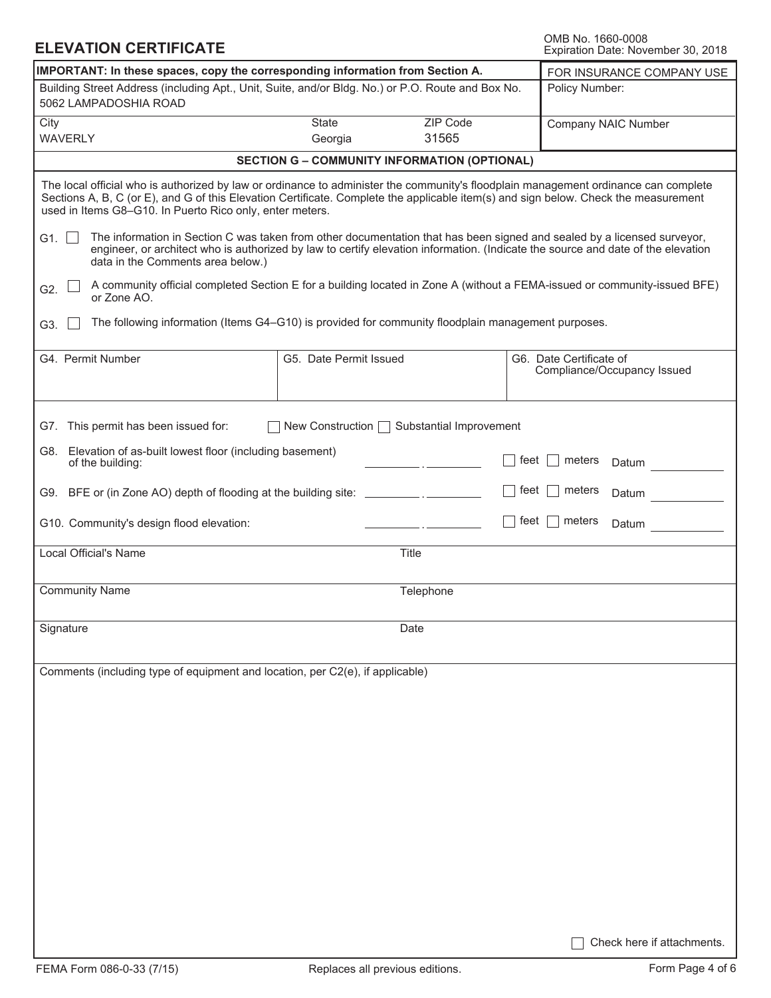| <b>ELEVATION CERTIFICATE</b> |
|------------------------------|
|------------------------------|

**ELEVATION CERTIFICATE** The Computer of the COMB No. 1660-0008<br>
Expiration Date: November 30, 2018

| IMPORTANT: In these spaces, copy the corresponding information from Section A.<br>FOR INSURANCE COMPANY USE                                                                                                                                                                                                                            |                        |                                                     |          |                                                        |  |  |  |
|----------------------------------------------------------------------------------------------------------------------------------------------------------------------------------------------------------------------------------------------------------------------------------------------------------------------------------------|------------------------|-----------------------------------------------------|----------|--------------------------------------------------------|--|--|--|
| Building Street Address (including Apt., Unit, Suite, and/or Bldg. No.) or P.O. Route and Box No.<br>Policy Number:<br>5062 LAMPADOSHIA ROAD                                                                                                                                                                                           |                        |                                                     |          |                                                        |  |  |  |
| City<br><b>WAVERLY</b>                                                                                                                                                                                                                                                                                                                 | State<br>Georgia       | ZIP Code<br>31565                                   |          | Company NAIC Number                                    |  |  |  |
|                                                                                                                                                                                                                                                                                                                                        |                        |                                                     |          |                                                        |  |  |  |
|                                                                                                                                                                                                                                                                                                                                        |                        | <b>SECTION G - COMMUNITY INFORMATION (OPTIONAL)</b> |          |                                                        |  |  |  |
| The local official who is authorized by law or ordinance to administer the community's floodplain management ordinance can complete<br>Sections A, B, C (or E), and G of this Elevation Certificate. Complete the applicable item(s) and sign below. Check the measurement<br>used in Items G8-G10. In Puerto Rico only, enter meters. |                        |                                                     |          |                                                        |  |  |  |
| The information in Section C was taken from other documentation that has been signed and sealed by a licensed surveyor,<br>G1. $\vert \vert$<br>engineer, or architect who is authorized by law to certify elevation information. (Indicate the source and date of the elevation<br>data in the Comments area below.)                  |                        |                                                     |          |                                                        |  |  |  |
| A community official completed Section E for a building located in Zone A (without a FEMA-issued or community-issued BFE)<br>G2.<br>or Zone AO.                                                                                                                                                                                        |                        |                                                     |          |                                                        |  |  |  |
| The following information (Items G4-G10) is provided for community floodplain management purposes.<br>G3.                                                                                                                                                                                                                              |                        |                                                     |          |                                                        |  |  |  |
| G4. Permit Number                                                                                                                                                                                                                                                                                                                      | G5. Date Permit Issued |                                                     |          | G6. Date Certificate of<br>Compliance/Occupancy Issued |  |  |  |
| G7. This permit has been issued for:                                                                                                                                                                                                                                                                                                   |                        | New Construction   Substantial Improvement          |          |                                                        |  |  |  |
| G8. Elevation of as-built lowest floor (including basement)<br>of the building:                                                                                                                                                                                                                                                        |                        |                                                     | feet     | meters<br>Datum                                        |  |  |  |
| G9. BFE or (in Zone AO) depth of flooding at the building site: _________________                                                                                                                                                                                                                                                      |                        |                                                     | feet     | meters<br>Datum                                        |  |  |  |
| G10. Community's design flood elevation:                                                                                                                                                                                                                                                                                               |                        |                                                     | feet $ $ | meters<br>Datum                                        |  |  |  |
| Local Official's Name                                                                                                                                                                                                                                                                                                                  |                        | Title                                               |          |                                                        |  |  |  |
| <b>Community Name</b><br>Telephone                                                                                                                                                                                                                                                                                                     |                        |                                                     |          |                                                        |  |  |  |
| Signature                                                                                                                                                                                                                                                                                                                              |                        | Date                                                |          |                                                        |  |  |  |
| Comments (including type of equipment and location, per C2(e), if applicable)                                                                                                                                                                                                                                                          |                        |                                                     |          |                                                        |  |  |  |
|                                                                                                                                                                                                                                                                                                                                        |                        |                                                     |          |                                                        |  |  |  |
|                                                                                                                                                                                                                                                                                                                                        |                        |                                                     |          |                                                        |  |  |  |
|                                                                                                                                                                                                                                                                                                                                        |                        |                                                     |          |                                                        |  |  |  |
|                                                                                                                                                                                                                                                                                                                                        |                        |                                                     |          |                                                        |  |  |  |
|                                                                                                                                                                                                                                                                                                                                        |                        |                                                     |          |                                                        |  |  |  |
|                                                                                                                                                                                                                                                                                                                                        |                        |                                                     |          |                                                        |  |  |  |
|                                                                                                                                                                                                                                                                                                                                        |                        |                                                     |          |                                                        |  |  |  |
|                                                                                                                                                                                                                                                                                                                                        |                        |                                                     |          | Check here if attachments.                             |  |  |  |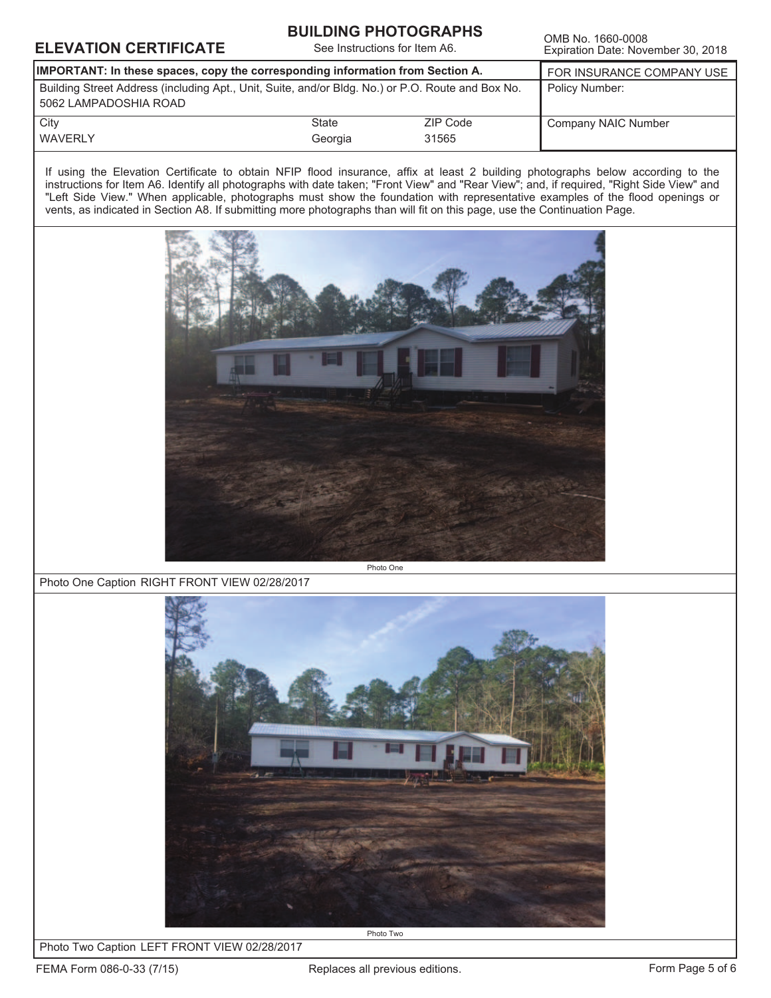### **ELEVATION CERTIFICATE**<br>Expiration Date: Nove

#### **BUILDING PHOTOGRAPHS**

See Instructions for Item A6.

Expiration Date: November 30, 2018

| IMPORTANT: In these spaces, copy the corresponding information from Section A.                                             | FOR INSURANCE COMPANY USE |          |                     |
|----------------------------------------------------------------------------------------------------------------------------|---------------------------|----------|---------------------|
| Building Street Address (including Apt., Unit, Suite, and/or Bldg. No.) or P.O. Route and Box No.<br>5062 LAMPADOSHIA ROAD |                           |          | Policy Number:      |
| City                                                                                                                       | State                     | ZIP Code | Company NAIC Number |
| <b>WAVERLY</b>                                                                                                             | Georgia                   | 31565    |                     |

If using the Elevation Certificate to obtain NFIP flood insurance, affix at least 2 building photographs below according to the instructions for Item A6. Identify all photographs with date taken; "Front View" and "Rear View"; and, if required, "Right Side View" and "Left Side View." When applicable, photographs must show the foundation with representative examples of the flood openings or vents, as indicated in Section A8. If submitting more photographs than will fit on this page, use the Continuation Page.



Photo One Caption RIGHT FRONT VIEW 02/28/2017



Photo Two Caption LEFT FRONT VIEW 02/28/2017